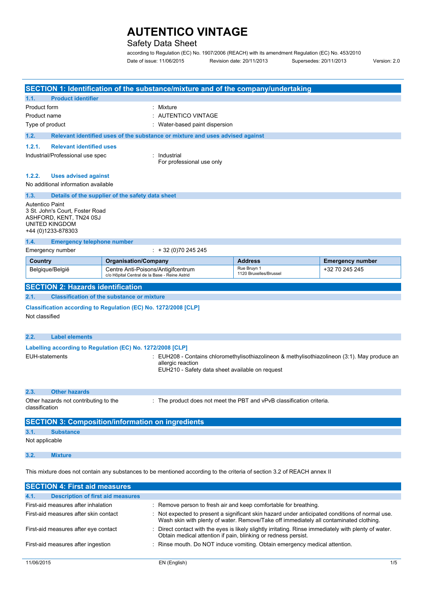### Safety Data Sheet

according to Regulation (EC) No. 1907/2006 (REACH) with its amendment Regulation (EC) No. 453/2010 Date of issue: 11/06/2015 Revision date: 20/11/2013 Supersedes: 20/11/2013 Version: 2.0

|                                                                                   |                                                                                                                                                                                                                                                            |                                                                                     | SECTION 1: Identification of the substance/mixture and of the company/undertaking |                                       |                         |  |
|-----------------------------------------------------------------------------------|------------------------------------------------------------------------------------------------------------------------------------------------------------------------------------------------------------------------------------------------------------|-------------------------------------------------------------------------------------|-----------------------------------------------------------------------------------|---------------------------------------|-------------------------|--|
| 1.1.                                                                              | <b>Product identifier</b>                                                                                                                                                                                                                                  |                                                                                     |                                                                                   |                                       |                         |  |
| Product form                                                                      |                                                                                                                                                                                                                                                            |                                                                                     | : Mixture                                                                         |                                       |                         |  |
| Product name                                                                      |                                                                                                                                                                                                                                                            |                                                                                     | : AUTENTICO VINTAGE                                                               |                                       |                         |  |
| Type of product                                                                   |                                                                                                                                                                                                                                                            |                                                                                     | Water-based paint dispersion                                                      |                                       |                         |  |
| 1.2.                                                                              |                                                                                                                                                                                                                                                            |                                                                                     | Relevant identified uses of the substance or mixture and uses advised against     |                                       |                         |  |
| 1.2.1.<br><b>Relevant identified uses</b>                                         |                                                                                                                                                                                                                                                            |                                                                                     |                                                                                   |                                       |                         |  |
| Industrial/Professional use spec                                                  |                                                                                                                                                                                                                                                            |                                                                                     | : Industrial<br>For professional use only                                         |                                       |                         |  |
|                                                                                   |                                                                                                                                                                                                                                                            |                                                                                     |                                                                                   |                                       |                         |  |
| 1.2.2.                                                                            | <b>Uses advised against</b>                                                                                                                                                                                                                                |                                                                                     |                                                                                   |                                       |                         |  |
|                                                                                   | No additional information available                                                                                                                                                                                                                        |                                                                                     |                                                                                   |                                       |                         |  |
| 1.3.                                                                              |                                                                                                                                                                                                                                                            | Details of the supplier of the safety data sheet                                    |                                                                                   |                                       |                         |  |
|                                                                                   | <b>Autentico Paint</b><br>3 St. John's Court, Foster Road<br>ASHFORD, KENT, TN24 0SJ<br>UNITED KINGDOM<br>+44 (0)1233-878303                                                                                                                               |                                                                                     |                                                                                   |                                       |                         |  |
| 1.4.                                                                              | <b>Emergency telephone number</b>                                                                                                                                                                                                                          |                                                                                     |                                                                                   |                                       |                         |  |
|                                                                                   | Emergency number                                                                                                                                                                                                                                           |                                                                                     | $\div$ + 32 (0)70 245 245                                                         |                                       |                         |  |
| Country                                                                           |                                                                                                                                                                                                                                                            | <b>Organisation/Company</b>                                                         |                                                                                   | <b>Address</b>                        | <b>Emergency number</b> |  |
| Belgique/België                                                                   |                                                                                                                                                                                                                                                            | Centre Anti-Poisons/Antigifcentrum<br>c/o Hôpital Central de la Base - Reine Astrid |                                                                                   | Rue Bruyn 1<br>1120 Bruxelles/Brussel | +32 70 245 245          |  |
|                                                                                   | <b>SECTION 2: Hazards identification</b>                                                                                                                                                                                                                   |                                                                                     |                                                                                   |                                       |                         |  |
| 2.1.                                                                              |                                                                                                                                                                                                                                                            | <b>Classification of the substance or mixture</b>                                   |                                                                                   |                                       |                         |  |
| Classification according to Regulation (EC) No. 1272/2008 [CLP]<br>Not classified |                                                                                                                                                                                                                                                            |                                                                                     |                                                                                   |                                       |                         |  |
| 2.2.                                                                              | <b>Label elements</b>                                                                                                                                                                                                                                      |                                                                                     |                                                                                   |                                       |                         |  |
|                                                                                   |                                                                                                                                                                                                                                                            |                                                                                     |                                                                                   |                                       |                         |  |
|                                                                                   | Labelling according to Regulation (EC) No. 1272/2008 [CLP]<br><b>EUH-statements</b><br>EUH208 - Contains chloromethylisothiazolineon & methylisothiazolineon (3:1). May produce an<br>allergic reaction<br>EUH210 - Safety data sheet available on request |                                                                                     |                                                                                   |                                       |                         |  |
| 2.3.                                                                              | <b>Other hazards</b>                                                                                                                                                                                                                                       |                                                                                     |                                                                                   |                                       |                         |  |
|                                                                                   | Other hazards not contributing to the<br>: The product does not meet the PBT and vPvB classification criteria.<br>classification                                                                                                                           |                                                                                     |                                                                                   |                                       |                         |  |
|                                                                                   | <b>SECTION 3: Composition/information on ingredients</b>                                                                                                                                                                                                   |                                                                                     |                                                                                   |                                       |                         |  |

### **3.1. Substance**

Not applicable

### **3.2. Mixture**

This mixture does not contain any substances to be mentioned according to the criteria of section 3.2 of REACH annex II

| <b>SECTION 4: First aid measures</b>             |  |                                                                                                                                                                                           |  |
|--------------------------------------------------|--|-------------------------------------------------------------------------------------------------------------------------------------------------------------------------------------------|--|
| <b>Description of first aid measures</b><br>4.1. |  |                                                                                                                                                                                           |  |
| First-aid measures after inhalation              |  | : Remove person to fresh air and keep comfortable for breathing.                                                                                                                          |  |
| First-aid measures after skin contact            |  | : Not expected to present a significant skin hazard under anticipated conditions of normal use.<br>Wash skin with plenty of water. Remove/Take off immediately all contaminated clothing. |  |
| First-aid measures after eye contact             |  | Direct contact with the eyes is likely slightly irritating. Rinse immediately with plenty of water.<br>Obtain medical attention if pain, blinking or redness persist.                     |  |
| First-aid measures after ingestion               |  | Rinse mouth. Do NOT induce vomiting. Obtain emergency medical attention.                                                                                                                  |  |
|                                                  |  |                                                                                                                                                                                           |  |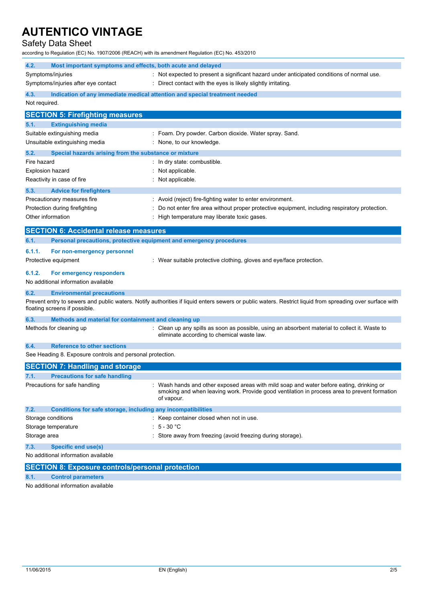### Safety Data Sheet

according to Regulation (EC) No. 1907/2006 (REACH) with its amendment Regulation (EC) No. 453/2010

| 4.2.<br>Most important symptoms and effects, both acute and delayed  |                                                                                                                                                                                                        |  |  |
|----------------------------------------------------------------------|--------------------------------------------------------------------------------------------------------------------------------------------------------------------------------------------------------|--|--|
| Symptoms/injuries                                                    | : Not expected to present a significant hazard under anticipated conditions of normal use.                                                                                                             |  |  |
| Symptoms/injuries after eye contact                                  | : Direct contact with the eyes is likely slightly irritating.                                                                                                                                          |  |  |
| 4.3.                                                                 | Indication of any immediate medical attention and special treatment needed                                                                                                                             |  |  |
| Not required.                                                        |                                                                                                                                                                                                        |  |  |
| <b>SECTION 5: Firefighting measures</b>                              |                                                                                                                                                                                                        |  |  |
| 5.1.<br><b>Extinguishing media</b>                                   |                                                                                                                                                                                                        |  |  |
| Suitable extinguishing media                                         | : Foam. Dry powder. Carbon dioxide. Water spray. Sand.                                                                                                                                                 |  |  |
| Unsuitable extinguishing media                                       | : None, to our knowledge.                                                                                                                                                                              |  |  |
| 5.2.<br>Special hazards arising from the substance or mixture        |                                                                                                                                                                                                        |  |  |
| Fire hazard                                                          | In dry state: combustible.                                                                                                                                                                             |  |  |
| <b>Explosion hazard</b>                                              | Not applicable.                                                                                                                                                                                        |  |  |
| Reactivity in case of fire                                           | : Not applicable.                                                                                                                                                                                      |  |  |
| 5.3.<br><b>Advice for firefighters</b>                               |                                                                                                                                                                                                        |  |  |
| Precautionary measures fire                                          | : Avoid (reject) fire-fighting water to enter environment.                                                                                                                                             |  |  |
| Protection during firefighting                                       | Do not enter fire area without proper protective equipment, including respiratory protection.                                                                                                          |  |  |
| Other information                                                    | High temperature may liberate toxic gases.                                                                                                                                                             |  |  |
| <b>SECTION 6: Accidental release measures</b>                        |                                                                                                                                                                                                        |  |  |
| 6.1.                                                                 |                                                                                                                                                                                                        |  |  |
| Personal precautions, protective equipment and emergency procedures  |                                                                                                                                                                                                        |  |  |
| 6.1.1.<br>For non-emergency personnel                                |                                                                                                                                                                                                        |  |  |
| Protective equipment                                                 | : Wear suitable protective clothing, gloves and eye/face protection.                                                                                                                                   |  |  |
| 6.1.2.<br>For emergency responders                                   |                                                                                                                                                                                                        |  |  |
| No additional information available                                  |                                                                                                                                                                                                        |  |  |
| 6.2.<br><b>Environmental precautions</b>                             |                                                                                                                                                                                                        |  |  |
|                                                                      | Prevent entry to sewers and public waters. Notify authorities if liquid enters sewers or public waters. Restrict liquid from spreading over surface with                                               |  |  |
| floating screens if possible.                                        |                                                                                                                                                                                                        |  |  |
| Methods and material for containment and cleaning up<br>6.3.         |                                                                                                                                                                                                        |  |  |
| Methods for cleaning up                                              | : Clean up any spills as soon as possible, using an absorbent material to collect it. Waste to<br>eliminate according to chemical waste law.                                                           |  |  |
|                                                                      |                                                                                                                                                                                                        |  |  |
| 6.4.<br><b>Reference to other sections</b>                           |                                                                                                                                                                                                        |  |  |
| See Heading 8. Exposure controls and personal protection.            |                                                                                                                                                                                                        |  |  |
| <b>SECTION 7: Handling and storage</b>                               |                                                                                                                                                                                                        |  |  |
| <b>Precautions for safe handling</b>                                 |                                                                                                                                                                                                        |  |  |
| Precautions for safe handling                                        | : Wash hands and other exposed areas with mild soap and water before eating, drinking or<br>smoking and when leaving work. Provide good ventilation in process area to prevent formation<br>of vapour. |  |  |
| 7.2.<br>Conditions for safe storage, including any incompatibilities |                                                                                                                                                                                                        |  |  |
| Storage conditions                                                   | : Keep container closed when not in use.                                                                                                                                                               |  |  |
| Storage temperature                                                  | $\div$ 5 - 30 °C                                                                                                                                                                                       |  |  |
| Storage area                                                         | : Store away from freezing (avoid freezing during storage).                                                                                                                                            |  |  |
| 7.3.<br><b>Specific end use(s)</b>                                   |                                                                                                                                                                                                        |  |  |
| No additional information available                                  |                                                                                                                                                                                                        |  |  |
| <b>SECTION 8: Exposure controls/personal protection</b>              |                                                                                                                                                                                                        |  |  |

**8.1. Control parameters**

No additional information available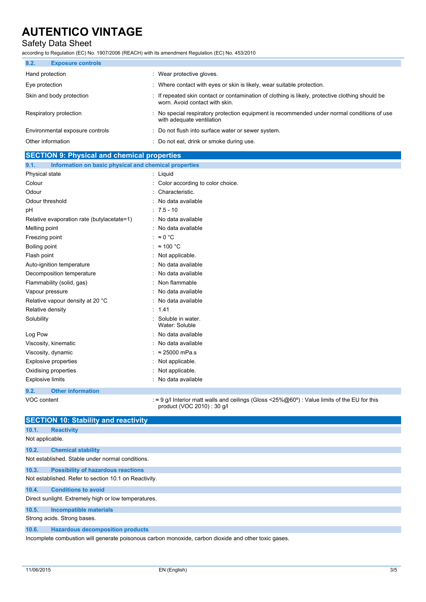## Safety Data Sheet

according to Regulation (EC) No. 1907/2006 (REACH) with its amendment Regulation (EC) No. 453/2010

| 8.2.<br><b>Exposure controls</b> |                                                                                                                                  |
|----------------------------------|----------------------------------------------------------------------------------------------------------------------------------|
| Hand protection                  | Wear protective gloves.                                                                                                          |
| Eye protection                   | Where contact with eyes or skin is likely, wear suitable protection.                                                             |
| Skin and body protection         | If repeated skin contact or contamination of clothing is likely, protective clothing should be<br>worn. Avoid contact with skin. |
| Respiratory protection           | : No special respiratory protection equipment is recommended under normal conditions of use<br>with adequate ventilation         |
| Environmental exposure controls  | : Do not flush into surface water or sewer system.                                                                               |
| Other information                | Do not eat, drink or smoke during use.                                                                                           |

| <b>SECTION 9: Physical and chemical properties</b>            |                                                                                                                                   |  |  |
|---------------------------------------------------------------|-----------------------------------------------------------------------------------------------------------------------------------|--|--|
| Information on basic physical and chemical properties<br>9.1. |                                                                                                                                   |  |  |
| Physical state                                                | : Liquid                                                                                                                          |  |  |
| Colour                                                        | Color according to color choice.                                                                                                  |  |  |
| Odour                                                         | Characteristic.                                                                                                                   |  |  |
| Odour threshold                                               | No data available                                                                                                                 |  |  |
| рH                                                            | $: 7.5 - 10$                                                                                                                      |  |  |
| Relative evaporation rate (butylacetate=1)                    | No data available<br>٠.                                                                                                           |  |  |
| Melting point                                                 | No data available                                                                                                                 |  |  |
| Freezing point                                                | $\approx 0$ °C                                                                                                                    |  |  |
| Boiling point                                                 | $\approx$ 100 °C                                                                                                                  |  |  |
| Flash point                                                   | Not applicable.                                                                                                                   |  |  |
| Auto-ignition temperature                                     | No data available                                                                                                                 |  |  |
| Decomposition temperature                                     | No data available                                                                                                                 |  |  |
| Flammability (solid, gas)                                     | Non flammable                                                                                                                     |  |  |
| Vapour pressure                                               | No data available                                                                                                                 |  |  |
| Relative vapour density at 20 °C                              | No data available                                                                                                                 |  |  |
| Relative density                                              | 1.41                                                                                                                              |  |  |
| Solubility                                                    | Soluble in water.<br>Water: Soluble                                                                                               |  |  |
| Log Pow                                                       | No data available                                                                                                                 |  |  |
| Viscosity, kinematic                                          | No data available                                                                                                                 |  |  |
| Viscosity, dynamic                                            | $\approx$ 25000 mPa.s                                                                                                             |  |  |
| Explosive properties                                          | Not applicable.                                                                                                                   |  |  |
| Oxidising properties                                          | Not applicable.                                                                                                                   |  |  |
| <b>Explosive limits</b>                                       | No data available                                                                                                                 |  |  |
| 9.2.<br><b>Other information</b>                              |                                                                                                                                   |  |  |
| VOC content                                                   | $\approx$ 9 g/l Interior matt walls and ceilings (Gloss <25%@60°) : Value limits of the EU for this<br>product (VOC 2010): 30 g/l |  |  |

|                                                       | <b>SECTION 10: Stability and reactivity</b>                                                                  |  |  |  |  |
|-------------------------------------------------------|--------------------------------------------------------------------------------------------------------------|--|--|--|--|
| 10.1.                                                 | <b>Reactivity</b>                                                                                            |  |  |  |  |
| Not applicable.                                       |                                                                                                              |  |  |  |  |
| 10.2.                                                 | <b>Chemical stability</b>                                                                                    |  |  |  |  |
| Not established. Stable under normal conditions.      |                                                                                                              |  |  |  |  |
| 10.3.                                                 | <b>Possibility of hazardous reactions</b>                                                                    |  |  |  |  |
| Not established. Refer to section 10.1 on Reactivity. |                                                                                                              |  |  |  |  |
| 10.4.                                                 | <b>Conditions to avoid</b>                                                                                   |  |  |  |  |
| Direct sunlight. Extremely high or low temperatures.  |                                                                                                              |  |  |  |  |
| 10.5.                                                 | Incompatible materials                                                                                       |  |  |  |  |
|                                                       | Strong acids. Strong bases.                                                                                  |  |  |  |  |
| 10.6.                                                 | <b>Hazardous decomposition products</b>                                                                      |  |  |  |  |
|                                                       | وموجود وارتماعه والمارو والماريوال ومواجع الماريونويوس ومواجع وريومومامور ولمومومو الزرز ومالعونوم ولواسوهما |  |  |  |  |

Incomplete combustion will generate poisonous carbon monoxide, carbon dioxide and other toxic gases.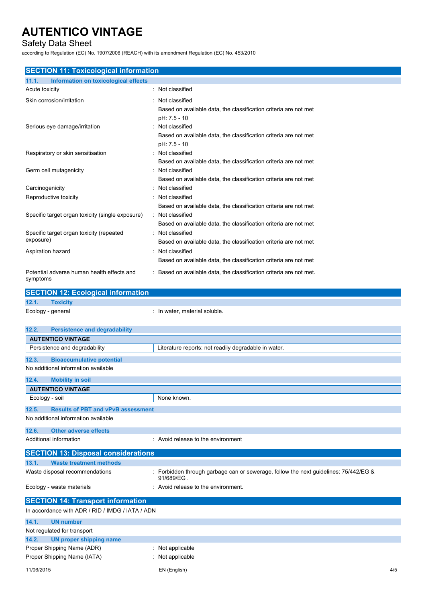## Safety Data Sheet

according to Regulation (EC) No. 1907/2006 (REACH) with its amendment Regulation (EC) No. 453/2010

| <b>SECTION 11: Toxicological information</b>                                     |                                                                                    |  |  |
|----------------------------------------------------------------------------------|------------------------------------------------------------------------------------|--|--|
| 11.1.<br>Information on toxicological effects                                    | : Not classified                                                                   |  |  |
| Acute toxicity                                                                   |                                                                                    |  |  |
| Skin corrosion/irritation                                                        | Not classified                                                                     |  |  |
|                                                                                  | Based on available data, the classification criteria are not met                   |  |  |
|                                                                                  | pH: 7.5 - 10                                                                       |  |  |
| Serious eye damage/irritation                                                    | Not classified                                                                     |  |  |
|                                                                                  | Based on available data, the classification criteria are not met                   |  |  |
|                                                                                  | pH: 7.5 - 10                                                                       |  |  |
| Respiratory or skin sensitisation                                                | Not classified                                                                     |  |  |
|                                                                                  | Based on available data, the classification criteria are not met                   |  |  |
| Germ cell mutagenicity                                                           | Not classified                                                                     |  |  |
|                                                                                  | Based on available data, the classification criteria are not met                   |  |  |
| Carcinogenicity                                                                  | Not classified                                                                     |  |  |
| Reproductive toxicity                                                            | Not classified                                                                     |  |  |
|                                                                                  | Based on available data, the classification criteria are not met                   |  |  |
| Specific target organ toxicity (single exposure)                                 | Not classified                                                                     |  |  |
|                                                                                  | Based on available data, the classification criteria are not met                   |  |  |
| Specific target organ toxicity (repeated<br>exposure)                            | : Not classified                                                                   |  |  |
|                                                                                  | Based on available data, the classification criteria are not met                   |  |  |
| Aspiration hazard                                                                | Not classified                                                                     |  |  |
|                                                                                  | Based on available data, the classification criteria are not met                   |  |  |
| Potential adverse human health effects and                                       | Based on available data, the classification criteria are not met.                  |  |  |
| symptoms                                                                         |                                                                                    |  |  |
| <b>SECTION 12: Ecological information</b>                                        |                                                                                    |  |  |
| 12.1.<br><b>Toxicity</b>                                                         |                                                                                    |  |  |
| Ecology - general                                                                | : In water, material soluble.                                                      |  |  |
|                                                                                  |                                                                                    |  |  |
| 12.2.<br><b>Persistence and degradability</b>                                    |                                                                                    |  |  |
| <b>AUTENTICO VINTAGE</b>                                                         |                                                                                    |  |  |
| Persistence and degradability                                                    | Literature reports: not readily degradable in water.                               |  |  |
|                                                                                  |                                                                                    |  |  |
| 12.3.<br><b>Bioaccumulative potential</b><br>No additional information available |                                                                                    |  |  |
|                                                                                  |                                                                                    |  |  |
|                                                                                  |                                                                                    |  |  |
| 12.4.<br><b>Mobility in soil</b>                                                 |                                                                                    |  |  |
| <b>AUTENTICO VINTAGE</b>                                                         |                                                                                    |  |  |
| Ecology - soil                                                                   | None known.                                                                        |  |  |
| 12.5.<br><b>Results of PBT and vPvB assessment</b>                               |                                                                                    |  |  |
| No additional information available                                              |                                                                                    |  |  |
|                                                                                  |                                                                                    |  |  |
| <b>Other adverse effects</b><br>12.6.                                            |                                                                                    |  |  |
| Additional information                                                           | : Avoid release to the environment                                                 |  |  |
| <b>SECTION 13: Disposal considerations</b>                                       |                                                                                    |  |  |
| 13.1.<br><b>Waste treatment methods</b>                                          |                                                                                    |  |  |
| Waste disposal recommendations                                                   | Forbidden through garbage can or sewerage, follow the next guidelines: 75/442/EG & |  |  |
|                                                                                  | 91/689/EG.                                                                         |  |  |
| Ecology - waste materials                                                        | Avoid release to the environment.                                                  |  |  |
| <b>SECTION 14: Transport information</b>                                         |                                                                                    |  |  |
| In accordance with ADR / RID / IMDG / IATA / ADN                                 |                                                                                    |  |  |
|                                                                                  |                                                                                    |  |  |
| 14.1.<br><b>UN number</b>                                                        |                                                                                    |  |  |
| Not regulated for transport<br>14.2.<br><b>UN proper shipping name</b>           |                                                                                    |  |  |